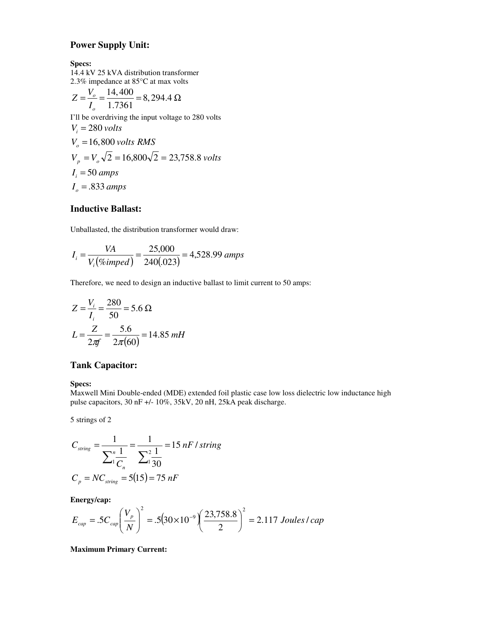# **Power Supply Unit:**

**Specs:**

14.4 kV 25 kVA distribution transformer 2.3% impedance at 85°C at max volts

$$
Z = \frac{V_o}{I_o} = \frac{14,400}{1.7361} = 8,294.4 \ \Omega
$$

I'll be overdriving the input voltage to 280 volts

$$
V_i = 280 \text{ volts}
$$
  
\n $V_o = 16,800 \text{ volts RMS}$   
\n $V_p = V_o \sqrt{2} = 16,800\sqrt{2} = 23,758.8 \text{ volts}$   
\n $I_i = 50 \text{ amps}$   
\n $I_o = .833 \text{ amps}$ 

# **Inductive Ballast:**

Unballasted, the distribution transformer would draw:

$$
I_i = \frac{VA}{V_i(\%imped)} = \frac{25,000}{240(.023)} = 4,528.99 \text{ amps}
$$

Therefore, we need to design an inductive ballast to limit current to 50 amps:

$$
Z = \frac{V_i}{I_i} = \frac{280}{50} = 5.6 \,\Omega
$$
  

$$
L = \frac{Z}{2\pi f} = \frac{5.6}{2\pi (60)} = 14.85 \, mH
$$

# **Tank Capacitor:**

**Specs:**

Maxwell Mini Double-ended (MDE) extended foil plastic case low loss dielectric low inductance high pulse capacitors, 30 nF +/- 10%, 35kV, 20 nH, 25kA peak discharge.

5 strings of 2

$$
C_{string} = \frac{1}{\sum_{1}^{n} \frac{1}{C_n}} = \frac{1}{\sum_{1}^{2} \frac{1}{30}} = 15 nF / string
$$
  

$$
C_p = NC_{string} = 5(15) = 75 nF
$$

**Energy/cap:**

$$
E_{cap} = .5C_{cap} \left(\frac{V_p}{N}\right)^2 = .5(30 \times 10^{-9}) \left(\frac{23,758.8}{2}\right)^2 = 2.117 \text{ Joules } l \text{ cap}
$$

**Maximum Primary Current:**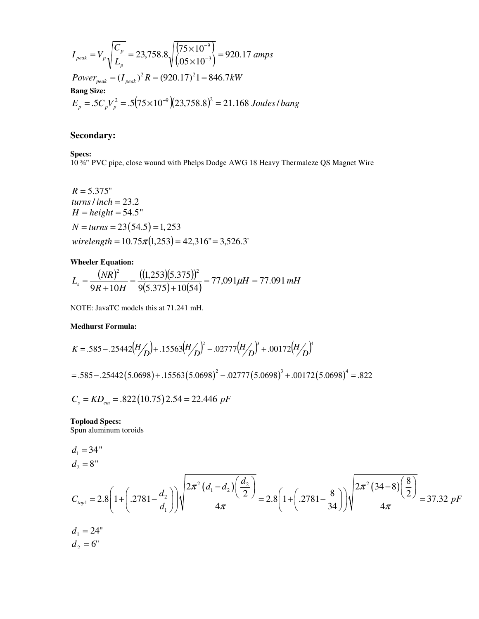$$
I_{peak} = V_p \sqrt{\frac{C_p}{L_p}} = 23,758.8 \sqrt{\frac{(75 \times 10^{-9})}{(.05 \times 10^{-3})}} = 920.17 \text{ amps}
$$
  
\n
$$
Power_{peak} = (I_{peak})^2 R = (920.17)^2 1 = 846.7 kW
$$
  
\n**Bang Size:**  
\n
$$
E_p = .5C_p V_p^2 = .5(75 \times 10^{-9})(23,758.8)^2 = 21.168 \text{ Joules/bang}
$$

# **Secondary:**

**Specs:**

10 ¾" PVC pipe, close wound with Phelps Dodge AWG 18 Heavy Thermaleze QS Magnet Wire

 $R = 5.375"$ *turns*/ *inch* = 23.2  $H = height = 54.5"$  $N = turns = 23(54.5) = 1,253$  $wirelength = 10.75\pi(1,253) = 42,316" = 3,526.3'$ 

### **Wheeler Equation:**

$$
L_s = \frac{(NR)^2}{9R + 10H} = \frac{((1,253)(5.375))^2}{9(5.375) + 10(54)} = 77,091\,\mu\text{H} = 77.091\,\text{mH}
$$

NOTE: JavaTC models this at 71.241 mH.

#### **Medhurst Formula:**

$$
K = .585 - .25442 \left(\frac{H}{D}\right) + .15563 \left(\frac{H}{D}\right)^2 - .02777 \left(\frac{H}{D}\right)^3 + .00172 \left(\frac{H}{D}\right)^4
$$
  
= .585 - .25442 (5.0698) + .15563 (5.0698)<sup>2</sup> - .02777 (5.0698)<sup>3</sup> + .00172 (5.0698)<sup>4</sup> = .822

$$
C_s = KD_{cm} = .822(10.75)2.54 = 22.446 pF
$$

**Topload Specs:**

Spun aluminum toroids

$$
d_1 = 34"
$$
  
\n
$$
d_2 = 8"
$$
  
\n
$$
C_{top1} = 2.8 \left( 1 + \left( .2781 - \frac{d_2}{d_1} \right) \right) \sqrt{\frac{2\pi^2 \left( d_1 - d_2 \right) \left( \frac{d_2}{2} \right)}{4\pi}} = 2.8 \left( 1 + \left( .2781 - \frac{8}{34} \right) \right) \sqrt{\frac{2\pi^2 \left( 34 - 8 \right) \left( \frac{8}{2} \right)}{4\pi}} = 37.32 \text{ pF}
$$
  
\n
$$
d_1 = 24"
$$
  
\n
$$
d_2 = 6"
$$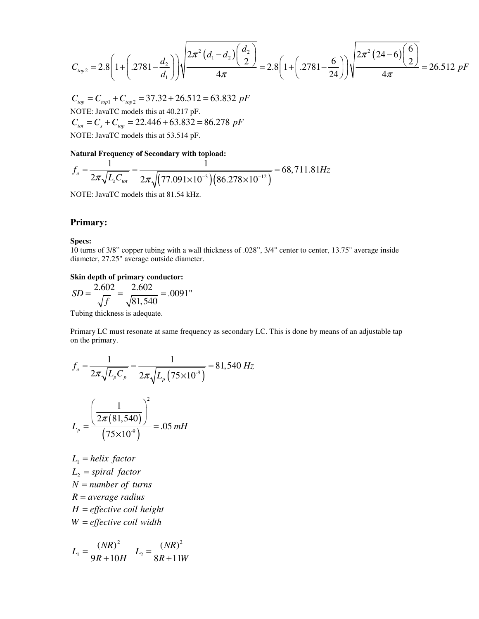$$
C_{top2} = 2.8 \left( 1 + \left( .2781 - \frac{d_2}{d_1} \right) \right) \sqrt{\frac{2\pi^2 \left( d_1 - d_2 \right) \left( \frac{d_2}{2} \right)}{4\pi}} = 2.8 \left( 1 + \left( .2781 - \frac{6}{24} \right) \right) \sqrt{\frac{2\pi^2 \left( 24 - 6 \right) \left( \frac{6}{2} \right)}{4\pi}} = 26.512 \text{ } pF
$$

 $C_{top} = C_{top1} + C_{top2} = 37.32 + 26.512 = 63.832 \ pF$ NOTE: JavaTC models this at 40.217 pF.  $C_{\text{tot}} = C_s + C_{\text{top}} = 22.446 + 63.832 = 86.278 \ pF$ NOTE: JavaTC models this at 53.514 pF.

#### **Natural Frequency of Secondary with topload:**

$$
f_o = \frac{1}{2\pi\sqrt{L_s C_{tot}}} = \frac{1}{2\pi\sqrt{(77.091 \times 10^{-3})(86.278 \times 10^{-12})}} = 68,711.81 Hz
$$

NOTE: JavaTC models this at 81.54 kHz.

## **Primary:**

## **Specs:**

10 turns of 3/8" copper tubing with a wall thickness of .028", 3/4" center to center, 13.75" average inside diameter, 27.25" average outside diameter.

#### **Skin depth of primary conductor:**

$$
SD = \frac{2.602}{\sqrt{f}} = \frac{2.602}{\sqrt{81,540}} = .0091"
$$

Tubing thickness is adequate.

Primary LC must resonate at same frequency as secondary LC. This is done by means of an adjustable tap on the primary.

$$
f_o = \frac{1}{2\pi\sqrt{L_p C_p}} = \frac{1}{2\pi\sqrt{L_p (75 \times 10^{-9})}} = 81,540 Hz
$$

$$
L_p = \frac{\left(\frac{1}{2\pi (81,540)}\right)^2}{(75 \times 10^{-9})} = .05 mL
$$

 $L_1 = helix factor$  $L_2$  = *spiral factor N* = *number of turns R* = *average radius H* = *effective coil height W* = *effective coil width*

$$
L_1 = \frac{(NR)^2}{9R + 10H} \quad L_2 = \frac{(NR)^2}{8R + 11W}
$$